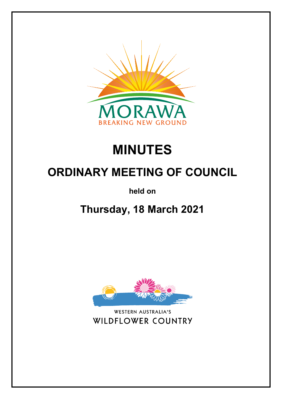

# **MINUTES**

# **ORDINARY MEETING OF COUNCIL**

**held on**

# **Thursday, 18 March 2021**



WESTERN AUSTRALIA'S **WILDFLOWER COUNTRY**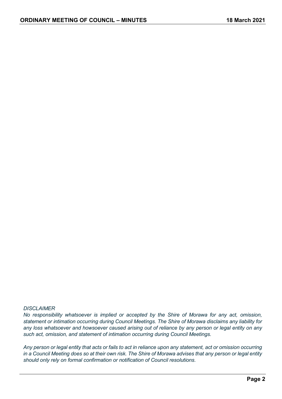#### *DISCLAIMER*

*No responsibility whatsoever is implied or accepted by the Shire of Morawa for any act, omission, statement or intimation occurring during Council Meetings. The Shire of Morawa disclaims any liability for any loss whatsoever and howsoever caused arising out of reliance by any person or legal entity on any such act, omission, and statement of intimation occurring during Council Meetings.*

*Any person or legal entity that acts or fails to act in reliance upon any statement, act or omission occurring in a Council Meeting does so at their own risk. The Shire of Morawa advises that any person or legal entity should only rely on formal confirmation or notification of Council resolutions.*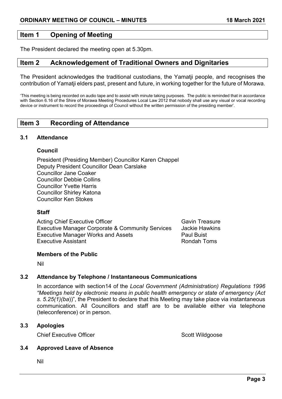# **Item 1 Opening of Meeting**

The President declared the meeting open at 5.30pm.

# **Item 2 Acknowledgement of Traditional Owners and Dignitaries**

The President acknowledges the traditional custodians, the Yamatji people, and recognises the contribution of Yamatji elders past, present and future, in working together for the future of Morawa.

'This meeting is being recorded on audio tape and to assist with minute taking purposes. The public is reminded that in accordance with Section 6.16 of the Shire of Morawa Meeting Procedures Local Law 2012 that nobody shall use any visual or vocal recording device or instrument to record the proceedings of Council without the written permission of the presiding member'.

# **Item 3 Recording of Attendance**

# **3.1 Attendance**

#### **Council**

President (Presiding Member) Councillor Karen Chappel Deputy President Councillor Dean Carslake Councillor Jane Coaker Councillor Debbie Collins Councillor Yvette Harris Councillor Shirley Katona Councillor Ken Stokes

# **Staff**

Acting Chief Executive Officer Gavin Treasure Gavin Treasure Executive Manager Corporate & Community Services Jackie Hawkins Executive Manager Works and Assets **Paul Buist** Paul Buist Executive Assistant **Rondah Toms Rondah Toms** 

# **Members of the Public**

Nil

# **3.2 Attendance by Telephone / Instantaneous Communications**

In accordance with section14 of the *Local Government (Administration) Regulations 1996 "Meetings held by electronic means in public health emergency or state of emergency (Act s. 5.25(1)(ba*))", the President to declare that this Meeting may take place via instantaneous communication. All Councillors and staff are to be available either via telephone (teleconference) or in person.

# **3.3 Apologies**

**Chief Executive Officer Scott Wildgoose** Scott Wildgoose

# **3.4 Approved Leave of Absence**

Nil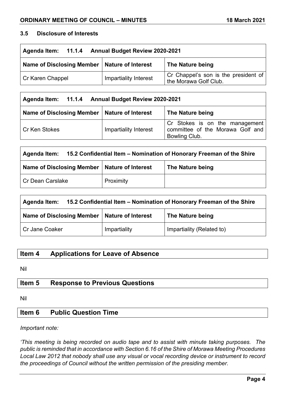# **3.5 Disclosure of Interests**

| Agenda Item: 11.1.4 Annual Budget Review 2020-2021 |                              |                                                               |  |
|----------------------------------------------------|------------------------------|---------------------------------------------------------------|--|
| Name of Disclosing Member   Nature of Interest     |                              | The Nature being                                              |  |
| Cr Karen Chappel                                   | <b>Impartiality Interest</b> | Cr Chappel's son is the president of<br>the Morawa Golf Club. |  |

| Agenda Item: 11.1.4 Annual Budget Review 2020-2021                 |                              |                                                                                     |  |
|--------------------------------------------------------------------|------------------------------|-------------------------------------------------------------------------------------|--|
| Name of Disclosing Member   Nature of Interest<br>The Nature being |                              |                                                                                     |  |
| l Cr Ken Stokes                                                    | <b>Impartiality Interest</b> | Cr Stokes is on the management<br>committee of the Morawa Golf and<br>Bowling Club. |  |

| 15.2 Confidential Item – Nomination of Honorary Freeman of the Shire<br>Agenda Item: |           |                  |
|--------------------------------------------------------------------------------------|-----------|------------------|
| Name of Disclosing Member   Nature of Interest                                       |           | The Nature being |
| Cr Dean Carslake                                                                     | Proximity |                  |

| 15.2 Confidential Item – Nomination of Honorary Freeman of the Shire<br>Agenda Item: |              |                           |  |
|--------------------------------------------------------------------------------------|--------------|---------------------------|--|
| Name of Disclosing Member   Nature of Interest<br>The Nature being                   |              |                           |  |
| <b>Cr Jane Coaker</b>                                                                | Impartiality | Impartiality (Related to) |  |

# **Item 4 Applications for Leave of Absence**

Nil

# **Item 5 Response to Previous Questions**

Nil

# **Item 6 Public Question Time**

*Important note:*

*'This meeting is being recorded on audio tape and to assist with minute taking purposes. The public is reminded that in accordance with Section 6.16 of the Shire of Morawa Meeting Procedures Local Law 2012 that nobody shall use any visual or vocal recording device or instrument to record the proceedings of Council without the written permission of the presiding member.*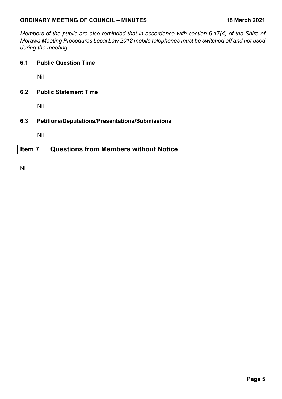*Members of the public are also reminded that in accordance with section 6.17(4) of the Shire of Morawa Meeting Procedures Local Law 2012 mobile telephones must be switched off and not used during the meeting.'*

**6.1 Public Question Time**

Nil

**6.2 Public Statement Time**

Nil

**6.3 Petitions/Deputations/Presentations/Submissions**

Nil

# **Item 7 Questions from Members without Notice**

Nil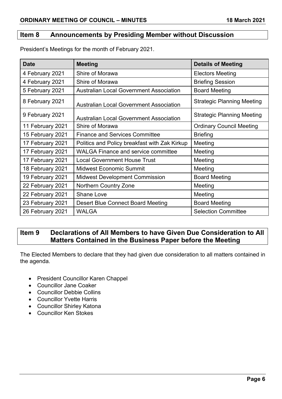# **Item 8 Announcements by Presiding Member without Discussion**

| <b>Date</b>      | <b>Meeting</b>                                 | <b>Details of Meeting</b>         |
|------------------|------------------------------------------------|-----------------------------------|
| 4 February 2021  | Shire of Morawa                                | <b>Electors Meeting</b>           |
| 4 February 2021  | Shire of Morawa                                | <b>Briefing Session</b>           |
| 5 February 2021  | <b>Australian Local Government Association</b> | <b>Board Meeting</b>              |
| 8 February 2021  | <b>Australian Local Government Association</b> | <b>Strategic Planning Meeting</b> |
| 9 February 2021  | <b>Australian Local Government Association</b> | <b>Strategic Planning Meeting</b> |
| 11 February 2021 | Shire of Morawa                                | <b>Ordinary Council Meeting</b>   |
| 15 February 2021 | <b>Finance and Services Committee</b>          | <b>Briefing</b>                   |
| 17 February 2021 | Politics and Policy breakfast with Zak Kirkup  | Meeting                           |
| 17 February 2021 | <b>WALGA Finance and service committee</b>     | Meeting                           |
| 17 February 2021 | <b>Local Government House Trust</b>            | Meeting                           |
| 18 February 2021 | <b>Midwest Economic Summit</b>                 | Meeting                           |
| 19 February 2021 | <b>Midwest Development Commission</b>          | <b>Board Meeting</b>              |
| 22 February 2021 | <b>Northern Country Zone</b>                   | Meeting                           |
| 22 February 2021 | <b>Shane Love</b>                              | Meeting                           |
| 23 February 2021 | <b>Desert Blue Connect Board Meeting</b>       | <b>Board Meeting</b>              |
| 26 February 2021 | <b>WALGA</b>                                   | <b>Selection Committee</b>        |

President's Meetings for the month of February 2021.

# **Item 9 Declarations of All Members to have Given Due Consideration to All Matters Contained in the Business Paper before the Meeting**

The Elected Members to declare that they had given due consideration to all matters contained in the agenda.

- President Councillor Karen Chappel
- Councillor Jane Coaker
- Councillor Debbie Collins
- Councillor Yvette Harris
- Councillor Shirley Katona
- Councillor Ken Stokes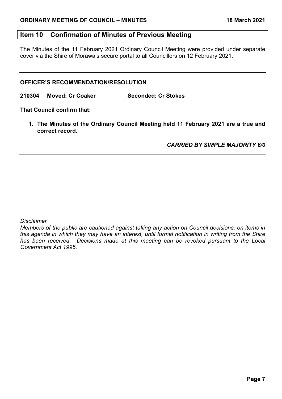# **Item 10 Confirmation of Minutes of Previous Meeting**

The Minutes of the 11 February 2021 Ordinary Council Meeting were provided under separate cover via the Shire of Morawa's secure portal to all Councillors on 12 February 2021.

#### **OFFICER'S RECOMMENDATION/RESOLUTION**

**210304 Moved: Cr Coaker Seconded: Cr Stokes**

**That Council confirm that:**

**1. The Minutes of the Ordinary Council Meeting held 11 February 2021 are a true and correct record.**

*CARRIED BY SIMPLE MAJORITY 6/0*

*Disclaimer*

*Members of the public are cautioned against taking any action on Council decisions, on items in this agenda in which they may have an interest, until formal notification in writing from the Shire has been received. Decisions made at this meeting can be revoked pursuant to the Local Government Act 1995.*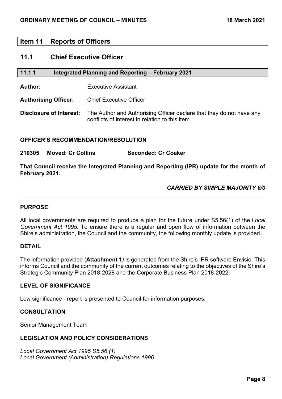# **Item 11 Reports of Officers**

# **11.1 Chief Executive Officer**

#### **11.1.1 Integrated Planning and Reporting – February 2021**

**Author:** Executive Assistant

**Authorising Officer:** Chief Executive Officer

**Disclosure of Interest:** The Author and Authorising Officer declare that they do not have any conflicts of interest in relation to this item.

#### **OFFICER'S RECOMMENDATION/RESOLUTION**

**210305 Moved: Cr Collins Seconded: Cr Coaker**

**That Council receive the Integrated Planning and Reporting (IPR) update for the month of February 2021.**

#### *CARRIED BY SIMPLE MAJORITY 6/0*

# **PURPOSE**

All local governments are required to produce a plan for the future under S5.56(1) of the *Local Government Act 1995*. To ensure there is a regular and open flow of information between the Shire's administration, the Council and the community, the following monthly update is provided.

#### **DETAIL**

The information provided (**Attachment 1***)* is generated from the Shire's IPR software Envisio. This informs Council and the community of the current outcomes relating to the objectives of the Shire's Strategic Community Plan 2018-2028 and the Corporate Business Plan 2018-2022.

# **LEVEL OF SIGNIFICANCE**

Low significance - report is presented to Council for information purposes.

#### **CONSULTATION**

Senior Management Team

# **LEGISLATION AND POLICY CONSIDERATIONS**

*Local Government Act 1995 S5.56 (1) Local Government (Administration) Regulations 1996*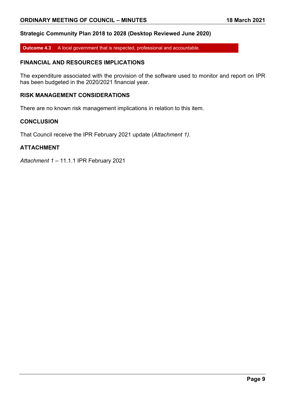#### **Strategic Community Plan 2018 to 2028 (Desktop Reviewed June 2020)**

**Outcome 4.3** A local government that is respected, professional and accountable.

# **FINANCIAL AND RESOURCES IMPLICATIONS**

The expenditure associated with the provision of the software used to monitor and report on IPR has been budgeted in the 2020/2021 financial year.

# **RISK MANAGEMENT CONSIDERATIONS**

There are no known risk management implications in relation to this item.

#### **CONCLUSION**

That Council receive the IPR February 2021 update (*Attachment 1)*.

#### **ATTACHMENT**

*Attachment 1 –* 11.1.1 IPR February 2021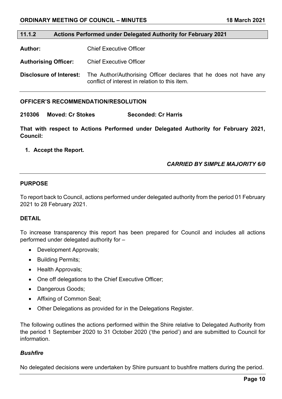#### **11.1.2 Actions Performed under Delegated Authority for February 2021**

**Author:** Chief Executive Officer

**Authorising Officer:** Chief Executive Officer

**Disclosure of Interest:** The Author/Authorising Officer declares that he does not have any conflict of interest in relation to this item.

#### **OFFICER'S RECOMMENDATION/RESOLUTION**

**210306 Moved: Cr Stokes Seconded: Cr Harris**

**That with respect to Actions Performed under Delegated Authority for February 2021, Council:**

#### **1. Accept the Report.**

# *CARRIED BY SIMPLE MAJORITY 6/0*

#### **PURPOSE**

To report back to Council, actions performed under delegated authority from the period 01 February 2021 to 28 February 2021.

#### **DETAIL**

To increase transparency this report has been prepared for Council and includes all actions performed under delegated authority for –

- Development Approvals;
- Building Permits;
- Health Approvals;
- One off delegations to the Chief Executive Officer;
- Dangerous Goods;
- Affixing of Common Seal;
- Other Delegations as provided for in the Delegations Register.

The following outlines the actions performed within the Shire relative to Delegated Authority from the period 1 September 2020 to 31 October 2020 ('the period') and are submitted to Council for information.

#### *Bushfire*

No delegated decisions were undertaken by Shire pursuant to bushfire matters during the period.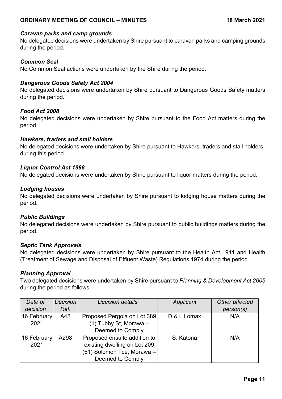#### *Caravan parks and camp grounds*

No delegated decisions were undertaken by Shire pursuant to caravan parks and camping grounds during the period.

#### *Common Seal*

No Common Seal actions were undertaken by the Shire during the period.

#### *Dangerous Goods Safety Act 2004*

No delegated decisions were undertaken by Shire pursuant to Dangerous Goods Safety matters during the period.

#### *Food Act 2008*

No delegated decisions were undertaken by Shire pursuant to the Food Act matters during the period.

#### *Hawkers, traders and stall holders*

No delegated decisions were undertaken by Shire pursuant to Hawkers, traders and stall holders during this period.

#### *Liquor Control Act 1988*

No delegated decisions were undertaken by Shire pursuant to liquor matters during the period.

#### *Lodging houses*

No delegated decisions were undertaken by Shire pursuant to lodging house matters during the period.

#### *Public Buildings*

No delegated decisions were undertaken by Shire pursuant to public buildings matters during the period.

#### *Septic Tank Approvals*

No delegated decisions were undertaken by Shire pursuant to the Health Act 1911 and Health (Treatment of Sewage and Disposal of Effluent Waste) Regulations 1974 during the period.

# *Planning Approval*

Two delegated decisions were undertaken by Shire pursuant to *Planning & Development Act 2005*  during the period as follows:

| Date of     | Decision | <b>Decision details</b>      | Applicant   | Other affected |
|-------------|----------|------------------------------|-------------|----------------|
| decision    | Ref.     |                              |             | person(s)      |
| 16 February | A42      | Proposed Pergola on Lot 389  | D & L Lomax | N/A            |
| 2021        |          | (1) Tubby St, Morawa -       |             |                |
|             |          | Deemed to Comply             |             |                |
| 16 February | A298     | Proposed ensuite addition to | S. Katona   | N/A            |
| 2021        |          | existing dwelling on Lot 209 |             |                |
|             |          | (51) Solomon Tce, Morawa –   |             |                |
|             |          | Deemed to Comply             |             |                |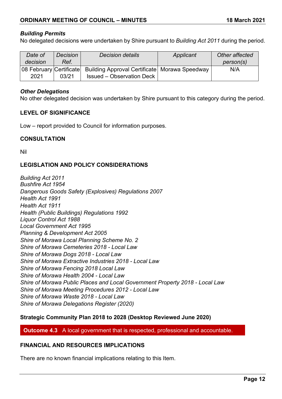# *Building Permits*

No delegated decisions were undertaken by Shire pursuant to *Building Act 2011* during the period.

| Date of  | <b>Decision</b> | <b>Decision details</b>                                                   | Applicant | Other affected |
|----------|-----------------|---------------------------------------------------------------------------|-----------|----------------|
| decision | Ref.            |                                                                           |           | person(s)      |
|          |                 | 08 February Certificate   Building Approval Certificate   Morawa Speedway |           | N/A            |
| 2021     | 03/21           | <b>Issued – Observation Deck</b>                                          |           |                |

#### *Other Delegations*

No other delegated decision was undertaken by Shire pursuant to this category during the period.

# **LEVEL OF SIGNIFICANCE**

Low – report provided to Council for information purposes.

#### **CONSULTATION**

Nil

# **LEGISLATION AND POLICY CONSIDERATIONS**

*Building Act 2011 Bushfire Act 1954 Dangerous Goods Safety (Explosives) Regulations 2007 Health Act 1991 Health Act 1911 Health (Public Buildings) Regulations 1992 Liquor Control Act 1988 Local Government Act 1995 Planning & Development Act 2005 Shire of Morawa Local Planning Scheme No. 2 Shire of Morawa Cemeteries 2018 - Local Law Shire of Morawa Dogs 2018 - Local Law Shire of Morawa Extractive Industries 2018 - Local Law Shire of Morawa Fencing 2018 Local Law Shire of Morawa Health 2004 - Local Law Shire of Morawa Public Places and Local Government Property 2018 - Local Law Shire of Morawa Meeting Procedures 2012 - Local Law Shire of Morawa Waste 2018 - Local Law Shire of Morawa Delegations Register (2020)*

# **Strategic Community Plan 2018 to 2028 (Desktop Reviewed June 2020)**

**Outcome 4.3** A local government that is respected, professional and accountable.

# **FINANCIAL AND RESOURCES IMPLICATIONS**

There are no known financial implications relating to this Item.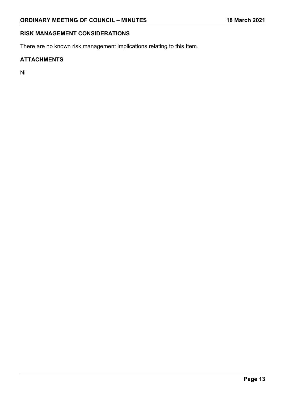# **RISK MANAGEMENT CONSIDERATIONS**

There are no known risk management implications relating to this Item.

# **ATTACHMENTS**

Nil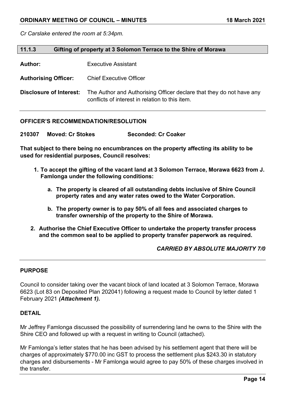*Cr Carslake entered the room at 5:34pm.*

| 11.1.3<br>Gifting of property at 3 Solomon Terrace to the Shire of Morawa |                                                                                                                         |
|---------------------------------------------------------------------------|-------------------------------------------------------------------------------------------------------------------------|
| <b>Author:</b>                                                            | <b>Executive Assistant</b>                                                                                              |
| <b>Authorising Officer:</b>                                               | <b>Chief Executive Officer</b>                                                                                          |
| Disclosure of Interest:                                                   | The Author and Authorising Officer declare that they do not have any<br>conflicts of interest in relation to this item. |

#### **OFFICER'S RECOMMENDATION/RESOLUTION**

**210307 Moved: Cr Stokes Seconded: Cr Coaker**

**That subject to there being no encumbrances on the property affecting its ability to be used for residential purposes, Council resolves:**

- **1. To accept the gifting of the vacant land at 3 Solomon Terrace, Morawa 6623 from J. Famlonga under the following conditions:**
	- **a. The property is cleared of all outstanding debts inclusive of Shire Council property rates and any water rates owed to the Water Corporation.**
	- **b. The property owner is to pay 50% of all fees and associated charges to transfer ownership of the property to the Shire of Morawa.**
- **2. Authorise the Chief Executive Officer to undertake the property transfer process and the common seal to be applied to property transfer paperwork as required.**

# *CARRIED BY ABSOLUTE MAJORITY 7/0*

# **PURPOSE**

Council to consider taking over the vacant block of land located at 3 Solomon Terrace, Morawa 6623 (Lot 83 on Deposited Plan 202041) following a request made to Council by letter dated 1 February 2021 *(Attachment 1).*

#### **DETAIL**

Mr Jeffrey Famlonga discussed the possibility of surrendering land he owns to the Shire with the Shire CEO and followed up with a request in writing to Council (attached).

Mr Famlonga's letter states that he has been advised by his settlement agent that there will be charges of approximately \$770.00 inc GST to process the settlement plus \$243.30 in statutory charges and disbursements - Mr Famlonga would agree to pay 50% of these charges involved in the transfer.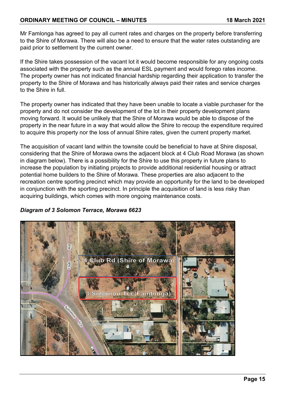Mr Famlonga has agreed to pay all current rates and charges on the property before transferring to the Shire of Morawa. There will also be a need to ensure that the water rates outstanding are paid prior to settlement by the current owner.

If the Shire takes possession of the vacant lot it would become responsible for any ongoing costs associated with the property such as the annual ESL payment and would forego rates income. The property owner has not indicated financial hardship regarding their application to transfer the property to the Shire of Morawa and has historically always paid their rates and service charges to the Shire in full.

The property owner has indicated that they have been unable to locate a viable purchaser for the property and do not consider the development of the lot in their property development plans moving forward. It would be unlikely that the Shire of Morawa would be able to dispose of the property in the near future in a way that would allow the Shire to recoup the expenditure required to acquire this property nor the loss of annual Shire rates, given the current property market.

The acquisition of vacant land within the townsite could be beneficial to have at Shire disposal, considering that the Shire of Morawa owns the adjacent block at 4 Club Road Morawa (as shown in diagram below). There is a possibility for the Shire to use this property in future plans to increase the population by initiating projects to provide additional residential housing or attract potential home builders to the Shire of Morawa. These properties are also adjacent to the recreation centre sporting precinct which may provide an opportunity for the land to be developed in conjunction with the sporting precinct. In principle the acquisition of land is less risky than acquiring buildings, which comes with more ongoing maintenance costs.

# *Diagram of 3 Solomon Terrace, Morawa 6623*

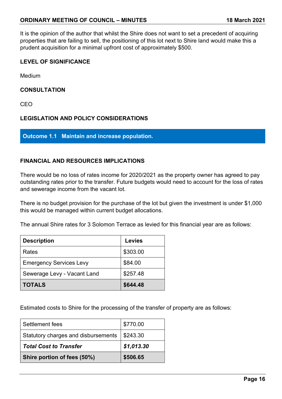It is the opinion of the author that whilst the Shire does not want to set a precedent of acquiring properties that are failing to sell, the positioning of this lot next to Shire land would make this a prudent acquisition for a minimal upfront cost of approximately \$500.

# **LEVEL OF SIGNIFICANCE**

Medium

# **CONSULTATION**

CEO

# **LEGISLATION AND POLICY CONSIDERATIONS**

**Outcome 1.1 Maintain and increase population.**

# **FINANCIAL AND RESOURCES IMPLICATIONS**

There would be no loss of rates income for 2020/2021 as the property owner has agreed to pay outstanding rates prior to the transfer. Future budgets would need to account for the loss of rates and sewerage income from the vacant lot.

There is no budget provision for the purchase of the lot but given the investment is under \$1,000 this would be managed within current budget allocations.

The annual Shire rates for 3 Solomon Terrace as levied for this financial year are as follows:

| <b>Description</b>             | <b>Levies</b> |
|--------------------------------|---------------|
| Rates                          | \$303.00      |
| <b>Emergency Services Levy</b> | \$84.00       |
| Sewerage Levy - Vacant Land    | \$257.48      |
| <b>TOTALS</b>                  | \$644.48      |

Estimated costs to Shire for the processing of the transfer of property are as follows:

| Settlement fees                     | \$770.00   |
|-------------------------------------|------------|
| Statutory charges and disbursements | \$243.30   |
| <b>Total Cost to Transfer</b>       | \$1,013.30 |
| Shire portion of fees (50%)         | \$506.65   |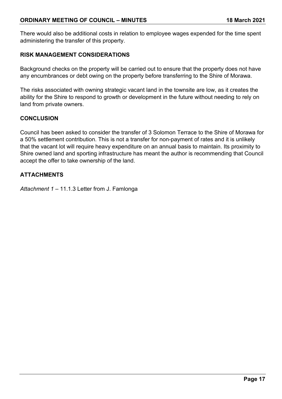There would also be additional costs in relation to employee wages expended for the time spent administering the transfer of this property.

# **RISK MANAGEMENT CONSIDERATIONS**

Background checks on the property will be carried out to ensure that the property does not have any encumbrances or debt owing on the property before transferring to the Shire of Morawa.

The risks associated with owning strategic vacant land in the townsite are low, as it creates the ability for the Shire to respond to growth or development in the future without needing to rely on land from private owners.

# **CONCLUSION**

Council has been asked to consider the transfer of 3 Solomon Terrace to the Shire of Morawa for a 50% settlement contribution. This is not a transfer for non-payment of rates and it is unlikely that the vacant lot will require heavy expenditure on an annual basis to maintain. Its proximity to Shire owned land and sporting infrastructure has meant the author is recommending that Council accept the offer to take ownership of the land.

# **ATTACHMENTS**

*Attachment 1 –* 11.1.3 Letter from J. Famlonga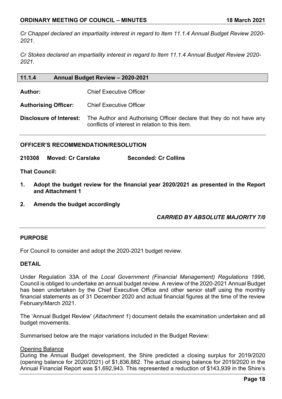*Cr Chappel declared an impartiality interest in regard to Item 11.1.4 Annual Budget Review 2020- 2021.*

*Cr Stokes declared an impartiality interest in regard to Item 11.1.4 Annual Budget Review 2020- 2021.*

| 11.1.4                      | Annual Budget Review - 2020-2021                                                                                        |
|-----------------------------|-------------------------------------------------------------------------------------------------------------------------|
| Author:                     | <b>Chief Executive Officer</b>                                                                                          |
| <b>Authorising Officer:</b> | <b>Chief Executive Officer</b>                                                                                          |
| Disclosure of Interest:     | The Author and Authorising Officer declare that they do not have any<br>conflicts of interest in relation to this item. |

# **OFFICER'S RECOMMENDATION/RESOLUTION**

**210308 Moved: Cr Carslake Seconded: Cr Collins**

**That Council:**

- **1. Adopt the budget review for the financial year 2020/2021 as presented in the Report and Attachment 1**
- **2. Amends the budget accordingly**

*CARRIED BY ABSOLUTE MAJORITY 7/0*

# **PURPOSE**

For Council to consider and adopt the 2020-2021 budget review.

# **DETAIL**

Under Regulation 33A of the *Local Government (Financial Management) Regulations 1996*, Council is obliged to undertake an annual budget review. A review of the 2020-2021 Annual Budget has been undertaken by the Chief Executive Office and other senior staff using the monthly financial statements as of 31 December 2020 and actual financial figures at the time of the review February/March 2021.

The 'Annual Budget Review' (*Attachment 1*) document details the examination undertaken and all budget movements.

Summarised below are the major variations included in the Budget Review:

#### **Opening Balance**

During the Annual Budget development, the Shire predicted a closing surplus for 2019/2020 (opening balance for 2020/2021) of \$1,836,882. The actual closing balance for 2019/2020 in the Annual Financial Report was \$1,692,943. This represented a reduction of \$143,939 in the Shire's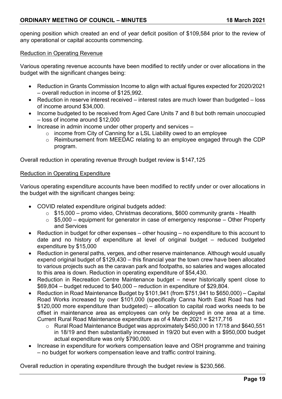opening position which created an end of year deficit position of \$109,584 prior to the review of any operational or capital accounts commencing.

#### Reduction in Operating Revenue

Various operating revenue accounts have been modified to rectify under or over allocations in the budget with the significant changes being:

- Reduction in Grants Commission Income to align with actual figures expected for 2020/2021 – overall reduction in income of \$125,992.
- Reduction in reserve interest received interest rates are much lower than budgeted loss of income around \$34,000.
- Income budgeted to be received from Aged Care Units 7 and 8 but both remain unoccupied – loss of income around \$12,000
- Increase in admin income under other property and services
	- o income from City of Canning for a LSL Liability owed to an employee
	- o Reimbursement from MEEDAC relating to an employee engaged through the CDP program.

Overall reduction in operating revenue through budget review is \$147,125

#### Reduction in Operating Expenditure

Various operating expenditure accounts have been modified to rectify under or over allocations in the budget with the significant changes being:

- COVID related expenditure original budgets added:
	- $\circ$  \$15,000 promo video, Christmas decorations, \$600 community grants Health
	- $\circ$  \$5,000 equipment for generator in case of emergency response Other Property and Services
- Reduction in budget for other expenses other housing no expenditure to this account to date and no history of expenditure at level of original budget – reduced budgeted expenditure by \$15,000
- Reduction in general paths, verges, and other reserve maintenance. Although would usually expend original budget of \$129,430 – this financial year the town crew have been allocated to various projects such as the caravan park and footpaths, so salaries and wages allocated to this area is down. Reduction in operating expenditure of \$54,430.
- Reduction in Recreation Centre Maintenance budget never historically spent close to \$69,804 – budget reduced to \$40,000 – reduction in expenditure of \$29,804.
- Reduction in Road Maintenance Budget by \$101,941 (from \$751,941 to \$650,000) Capital Road Works increased by over \$101,000 (specifically Canna North East Road has had \$120,000 more expenditure than budgeted) – allocation to capital road works needs to be offset in maintenance area as employees can only be deployed in one area at a time. Current Rural Road Maintenance expenditure as of 4 March 2021 = \$217,716
	- o Rural Road Maintenance Budget was approximately \$450,000 in 17/18 and \$640,551 in 18/19 and then substantially increased in 19/20 but even with a \$950,000 budget actual expenditure was only \$790,000.
- Increase in expenditure for workers compensation leave and OSH programme and training – no budget for workers compensation leave and traffic control training.

Overall reduction in operating expenditure through the budget review is \$230,566.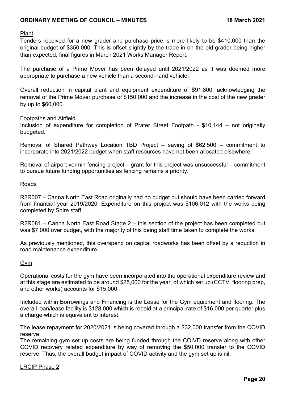Plant

Tenders received for a new grader and purchase price is more likely to be \$410,000 than the original budget of \$350,000. This is offset slightly by the trade in on the old grader being higher than expected, final figures in March 2021 Works Manager Report.

The purchase of a Prime Mover has been delayed until 2021/2022 as it was deemed more appropriate to purchase a new vehicle than a second-hand vehicle.

Overall reduction in capital plant and equipment expenditure of \$91,800, acknowledging the removal of the Prime Mover purchase of \$150,000 and the increase in the cost of the new grader by up to \$60,000.

#### Footpaths and Airfield

Inclusion of expenditure for completion of Prater Street Footpath - \$10,144 – not originally budgeted.

Removal of Shared Pathway Location TBD Project – saving of \$62,500 – commitment to incorporate into 2021/2022 budget when staff resources have not been allocated elsewhere.

Removal of airport vermin fencing project – grant for this project was unsuccessful – commitment to pursue future funding opportunities as fencing remains a priority.

#### Roads

R2R007 – Canna North East Road originally had no budget but should have been carried forward from financial year 2019/2020. Expenditure on this project was \$106,012 with the works being completed by Shire staff.

R2R081 – Canna North East Road Stage 2 – this section of the project has been completed but was \$7,000 over budget, with the majority of this being staff time taken to complete the works.

As previously mentioned, this overspend on capital roadworks has been offset by a reduction in road maintenance expenditure.

#### Gym

Operational costs for the gym have been incorporated into the operational expenditure review and at this stage are estimated to be around \$25,000 for the year, of which set up (CCTV, flooring prep, and other works) accounts for \$15,000.

Included within Borrowings and Financing is the Lease for the Gym equipment and flooring. The overall loan/lease facility is \$128,000 which is repaid at a principal rate of \$16,000 per quarter plus a charge which is equivalent to interest.

The lease repayment for 2020/2021 is being covered through a \$32,000 transfer from the COVID reserve.

The remaining gym set up costs are being funded through the COIVD reserve along with other COVID recovery related expenditure by way of removing the \$50,000 transfer to the COVID reserve. Thus, the overall budget impact of COVID activity and the gym set up is nil.

LRCIP Phase 2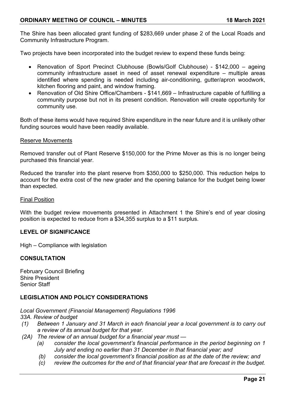The Shire has been allocated grant funding of \$283,669 under phase 2 of the Local Roads and Community Infrastructure Program.

Two projects have been incorporated into the budget review to expend these funds being:

- Renovation of Sport Precinct Clubhouse (Bowls/Golf Clubhouse) \$142,000 ageing community infrastructure asset in need of asset renewal expenditure – multiple areas identified where spending is needed including air-conditioning, gutter/apron woodwork, kitchen flooring and paint, and window framing.
- Renovation of Old Shire Office/Chambers \$141,669 Infrastructure capable of fulfilling a community purpose but not in its present condition. Renovation will create opportunity for community use.

Both of these items would have required Shire expenditure in the near future and it is unlikely other funding sources would have been readily available.

#### Reserve Movements

Removed transfer out of Plant Reserve \$150,000 for the Prime Mover as this is no longer being purchased this financial year.

Reduced the transfer into the plant reserve from \$350,000 to \$250,000. This reduction helps to account for the extra cost of the new grader and the opening balance for the budget being lower than expected.

Final Position

With the budget review movements presented in Attachment 1 the Shire's end of year closing position is expected to reduce from a \$34,355 surplus to a \$11 surplus.

# **LEVEL OF SIGNIFICANCE**

High – Compliance with legislation

# **CONSULTATION**

February Council Briefing Shire President Senior Staff

# **LEGISLATION AND POLICY CONSIDERATIONS**

*Local Government (Financial Management) Regulations 1996*

*33A. Review of budget*

- *(1) Between 1 January and 31 March in each financial year a local government is to carry out a review of its annual budget for that year.*
- *(2A) The review of an annual budget for a financial year must —*
	- *(a) consider the local government's financial performance in the period beginning on 1 July and ending no earlier than 31 December in that financial year; and*
	- *(b) consider the local government's financial position as at the date of the review; and*
	- *(c) review the outcomes for the end of that financial year that are forecast in the budget.*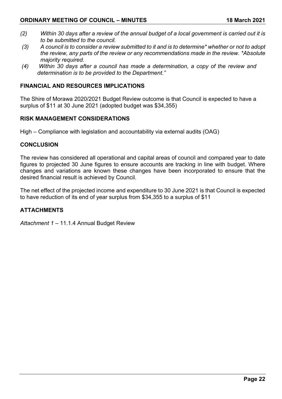- *(2) Within 30 days after a review of the annual budget of a local government is carried out it is to be submitted to the council.*
- *(3) A council is to consider a review submitted to it and is to determine\* whether or not to adopt the review, any parts of the review or any recommendations made in the review. \*Absolute majority required.*
- *(4) Within 30 days after a council has made a determination, a copy of the review and determination is to be provided to the Department."*

# **FINANCIAL AND RESOURCES IMPLICATIONS**

The Shire of Morawa 2020/2021 Budget Review outcome is that Council is expected to have a surplus of \$11 at 30 June 2021 (adopted budget was \$34,355)

# **RISK MANAGEMENT CONSIDERATIONS**

High – Compliance with legislation and accountability via external audits (OAG)

# **CONCLUSION**

The review has considered all operational and capital areas of council and compared year to date figures to projected 30 June figures to ensure accounts are tracking in line with budget. Where changes and variations are known these changes have been incorporated to ensure that the desired financial result is achieved by Council.

The net effect of the projected income and expenditure to 30 June 2021 is that Council is expected to have reduction of its end of year surplus from \$34,355 to a surplus of \$11

# **ATTACHMENTS**

*Attachment 1 –* 11.1.4 Annual Budget Review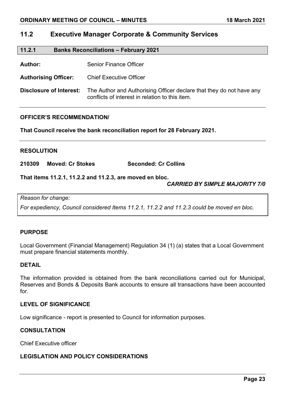# **11.2 Executive Manager Corporate & Community Services**

#### **11.2.1 Banks Reconciliations – February 2021**

Author: Senior Finance Officer

**Authorising Officer:** Chief Executive Officer

**Disclosure of Interest:** The Author and Authorising Officer declare that they do not have any conflicts of interest in relation to this item.

#### **OFFICER'S RECOMMENDATION/**

**That Council receive the bank reconciliation report for 28 February 2021.**

#### **RESOLUTION**

**210309 Moved: Cr Stokes Seconded: Cr Collins**

**That items 11.2.1, 11.2.2 and 11.2.3, are moved en bloc.**

# *CARRIED BY SIMPLE MAJORITY 7/0*

*Reason for change:*

*For expediency, Council considered Items 11.2.1, 11.2.2 and 11.2.3 could be moved en bloc.*

# **PURPOSE**

Local Government (Financial Management) Regulation 34 (1) (a) states that a Local Government must prepare financial statements monthly.

#### **DETAIL**

The information provided is obtained from the bank reconciliations carried out for Municipal, Reserves and Bonds & Deposits Bank accounts to ensure all transactions have been accounted for.

# **LEVEL OF SIGNIFICANCE**

Low significance - report is presented to Council for information purposes.

# **CONSULTATION**

Chief Executive officer

# **LEGISLATION AND POLICY CONSIDERATIONS**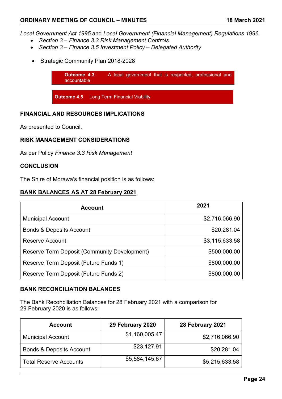*Local Government Act 1995* and *Local Government (Financial Management) Regulations 1996*.

- *Section 3 – Finance 3.3 Risk Management Controls*
- *Section 3 – Finance 3.5 Investment Policy – Delegated Authority*
- Strategic Community Plan 2018-2028



# **FINANCIAL AND RESOURCES IMPLICATIONS**

As presented to Council.

# **RISK MANAGEMENT CONSIDERATIONS**

As per Policy *Finance 3.3 Risk Management*

# **CONCLUSION**

The Shire of Morawa's financial position is as follows:

# **BANK BALANCES AS AT 28 February 2021**

| <b>Account</b>                               | 2021           |
|----------------------------------------------|----------------|
| <b>Municipal Account</b>                     | \$2,716,066.90 |
| <b>Bonds &amp; Deposits Account</b>          | \$20,281.04    |
| Reserve Account                              | \$3,115,633.58 |
| Reserve Term Deposit (Community Development) | \$500,000.00   |
| Reserve Term Deposit (Future Funds 1)        | \$800,000.00   |
| Reserve Term Deposit (Future Funds 2)        | \$800,000.00   |

# **BANK RECONCILIATION BALANCES**

The Bank Reconciliation Balances for 28 February 2021 with a comparison for 29 February 2020 is as follows:

| <b>Account</b>                      | 29 February 2020 | 28 February 2021 |
|-------------------------------------|------------------|------------------|
| <b>Municipal Account</b>            | \$1,160,005.47   | \$2,716,066.90   |
| <b>Bonds &amp; Deposits Account</b> | \$23,127.91      | \$20,281.04      |
| <b>Total Reserve Accounts</b>       | \$5,584,145.67   | \$5,215,633.58   |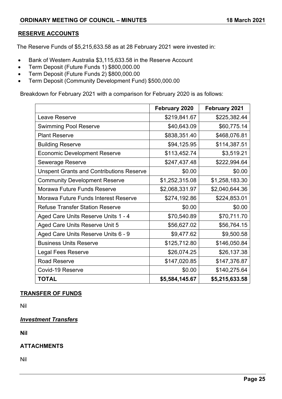# **RESERVE ACCOUNTS**

The Reserve Funds of \$5,215,633.58 as at 28 February 2021 were invested in:

- Bank of Western Australia \$3,115,633.58 in the Reserve Account
- Term Deposit (Future Funds 1) \$800,000.00
- Term Deposit (Future Funds 2) \$800,000.00
- Term Deposit (Community Development Fund) \$500,000.00

Breakdown for February 2021 with a comparison for February 2020 is as follows:

|                                                 | <b>February 2020</b> | <b>February 2021</b> |
|-------------------------------------------------|----------------------|----------------------|
| Leave Reserve                                   | \$219,841.67         | \$225,382.44         |
| <b>Swimming Pool Reserve</b>                    | \$40,643.09          | \$60,775.14          |
| <b>Plant Reserve</b>                            | \$838,351.40         | \$468,076.81         |
| <b>Building Reserve</b>                         | \$94,125.95          | \$114,387.51         |
| <b>Economic Development Reserve</b>             | \$113,452.74         | \$3,519.21           |
| <b>Sewerage Reserve</b>                         | \$247,437.48         | \$222,994.64         |
| <b>Unspent Grants and Contributions Reserve</b> | \$0.00               | \$0.00               |
| <b>Community Development Reserve</b>            | \$1,252,315.08       | \$1,258,183.30       |
| <b>Morawa Future Funds Reserve</b>              | \$2,068,331.97       | \$2,040,644.36       |
| <b>Morawa Future Funds Interest Reserve</b>     | \$274,192.86         | \$224,853.01         |
| <b>Refuse Transfer Station Reserve</b>          | \$0.00               | \$0.00               |
| Aged Care Units Reserve Units 1 - 4             | \$70,540.89          | \$70,711.70          |
| Aged Care Units Reserve Unit 5                  | \$56,627.02          | \$56,764.15          |
| Aged Care Units Reserve Units 6 - 9             | \$9,477.62           | \$9,500.58           |
| <b>Business Units Reserve</b>                   | \$125,712.80         | \$146,050.84         |
| Legal Fees Reserve                              | \$26,074.25          | \$26,137.38          |
| <b>Road Reserve</b>                             | \$147,020.85         | \$147,376.87         |
| Covid-19 Reserve                                | \$0.00               | \$140,275.64         |
| <b>TOTAL</b>                                    | \$5,584,145.67       | \$5,215,633.58       |

# **TRANSFER OF FUNDS**

Nil

# *Investment Transfers*

**Nil**

# **ATTACHMENTS**

Nil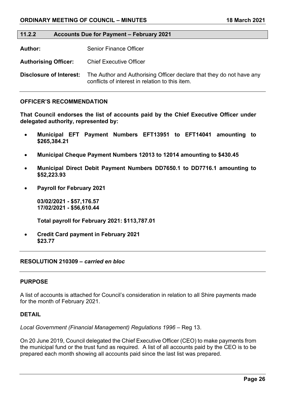# **11.2.2 Accounts Due for Payment – February 2021**

**Author:** Senior Finance Officer

**Authorising Officer:** Chief Executive Officer

**Disclosure of Interest:** The Author and Authorising Officer declare that they do not have any conflicts of interest in relation to this item.

#### **OFFICER'S RECOMMENDATION**

**That Council endorses the list of accounts paid by the Chief Executive Officer under delegated authority, represented by:**

- **Municipal EFT Payment Numbers EFT13951 to EFT14041 amounting to \$265,384.21**
- **Municipal Cheque Payment Numbers 12013 to 12014 amounting to \$430.45**
- **Municipal Direct Debit Payment Numbers DD7650.1 to DD7716.1 amounting to \$52,223.93**
- **Payroll for February 2021**

**03/02/2021 - \$57,176.57 17/02/2021 - \$56,610.44**

**Total payroll for February 2021: \$113,787.01**

• **Credit Card payment in February 2021 \$23.77**

#### **RESOLUTION 210309 –** *carried en bloc*

#### **PURPOSE**

A list of accounts is attached for Council's consideration in relation to all Shire payments made for the month of February 2021.

#### **DETAIL**

*Local Government (Financial Management) Regulations 1996* – Reg 13.

On 20 June 2019, Council delegated the Chief Executive Officer (CEO) to make payments from the municipal fund or the trust fund as required. A list of all accounts paid by the CEO is to be prepared each month showing all accounts paid since the last list was prepared.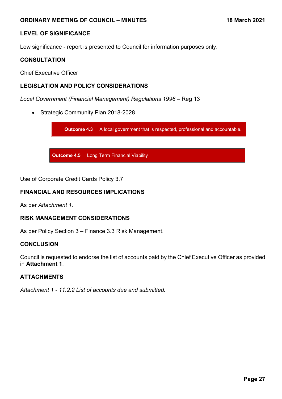# **LEVEL OF SIGNIFICANCE**

Low significance - report is presented to Council for information purposes only.

# **CONSULTATION**

Chief Executive Officer

# **LEGISLATION AND POLICY CONSIDERATIONS**

*Local Government (Financial Management) Regulations 1996* – Reg 13

• Strategic Community Plan 2018-2028

**Outcome 4.3** A local government that is respected, professional and accountable.

**Outcome 4.5** Long Term Financial Viability

Use of Corporate Credit Cards Policy 3.7

# **FINANCIAL AND RESOURCES IMPLICATIONS**

As per *Attachment 1.*

# **RISK MANAGEMENT CONSIDERATIONS**

As per Policy Section 3 – Finance 3.3 Risk Management.

#### **CONCLUSION**

Council is requested to endorse the list of accounts paid by the Chief Executive Officer as provided in **Attachment 1**.

# **ATTACHMENTS**

*Attachment 1 - 11.2.2 List of accounts due and submitted.*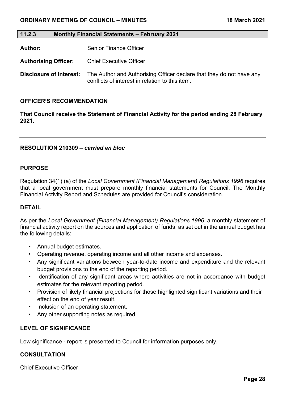#### **11.2.3 Monthly Financial Statements – February 2021**

**Author:** Senior Finance Officer

**Authorising Officer:** Chief Executive Officer

**Disclosure of Interest:** The Author and Authorising Officer declare that they do not have any conflicts of interest in relation to this item.

#### **OFFICER'S RECOMMENDATION**

**That Council receive the Statement of Financial Activity for the period ending 28 February 2021.**

#### **RESOLUTION 210309 –** *carried en bloc*

#### **PURPOSE**

Regulation 34(1) (a) of the *Local Government (Financial Management) Regulations 1996* requires that a local government must prepare monthly financial statements for Council. The Monthly Financial Activity Report and Schedules are provided for Council's consideration.

#### **DETAIL**

As per the *Local Government (Financial Management) Regulations 1996*, a monthly statement of financial activity report on the sources and application of funds, as set out in the annual budget has the following details:

- Annual budget estimates.
- Operating revenue, operating income and all other income and expenses.
- Any significant variations between year-to-date income and expenditure and the relevant budget provisions to the end of the reporting period.
- Identification of any significant areas where activities are not in accordance with budget estimates for the relevant reporting period.
- Provision of likely financial projections for those highlighted significant variations and their effect on the end of year result.
- Inclusion of an operating statement.
- Any other supporting notes as required.

# **LEVEL OF SIGNIFICANCE**

Low significance - report is presented to Council for information purposes only.

#### **CONSULTATION**

Chief Executive Officer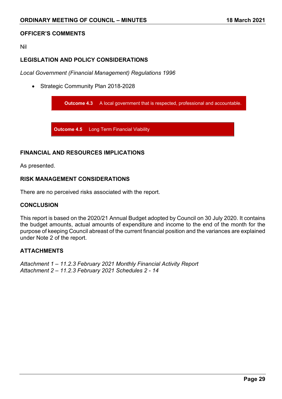#### **OFFICER'S COMMENTS**

#### Nil

# **LEGISLATION AND POLICY CONSIDERATIONS**

*Local Government (Financial Management) Regulations 1996*

• Strategic Community Plan 2018-2028



# **FINANCIAL AND RESOURCES IMPLICATIONS**

As presented.

# **RISK MANAGEMENT CONSIDERATIONS**

There are no perceived risks associated with the report.

# **CONCLUSION**

This report is based on the 2020/21 Annual Budget adopted by Council on 30 July 2020. It contains the budget amounts, actual amounts of expenditure and income to the end of the month for the purpose of keeping Council abreast of the current financial position and the variances are explained under Note 2 of the report.

# **ATTACHMENTS**

*Attachment 1 – 11.2.3 February 2021 Monthly Financial Activity Report Attachment 2 – 11.2.3 February 2021 Schedules 2 - 14*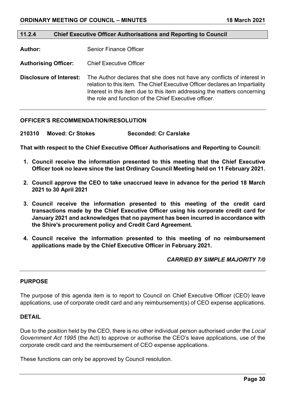#### **11.2.4 Chief Executive Officer Authorisations and Reporting to Council**

**Author:** Senior Finance Officer

**Authorising Officer:** Chief Executive Officer

**Disclosure of Interest:** The Author declares that she does not have any conflicts of interest in relation to this item. The Chief Executive Officer declares an Impartiality Interest in this item due to this item addressing the matters concerning the role and function of the Chief Executive officer.

#### **OFFICER'S RECOMMENDATION/RESOLUTION**

**210310 Moved: Cr Stokes Seconded: Cr Carslake**

**That with respect to the Chief Executive Officer Authorisations and Reporting to Council:** 

- **1. Council receive the information presented to this meeting that the Chief Executive Officer took no leave since the last Ordinary Council Meeting held on 11 February 2021.**
- **2. Council approve the CEO to take unaccrued leave in advance for the period 18 March 2021 to 30 April 2021**
- **3. Council receive the information presented to this meeting of the credit card transactions made by the Chief Executive Officer using his corporate credit card for January 2021 and acknowledges that no payment has been incurred in accordance with the Shire's procurement policy and Credit Card Agreement.**
- **4. Council receive the information presented to this meeting of no reimbursement applications made by the Chief Executive Officer in February 2021.**

#### *CARRIED BY SIMPLE MAJORITY 7/0*

#### **PURPOSE**

The purpose of this agenda item is to report to Council on Chief Executive Officer (CEO) leave applications, use of corporate credit card and any reimbursement(s) of CEO expense applications.

#### **DETAIL**

Due to the position held by the CEO, there is no other individual person authorised under the *Local Government Act 1995* (the Act) to approve or authorise the CEO's leave applications, use of the corporate credit card and the reimbursement of CEO expense applications.

These functions can only be approved by Council resolution.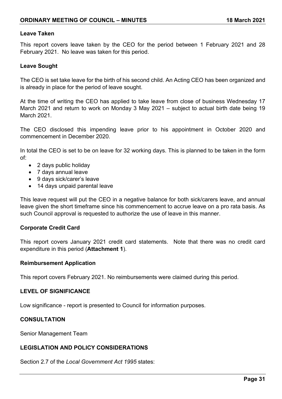#### **Leave Taken**

This report covers leave taken by the CEO for the period between 1 February 2021 and 28 February 2021. No leave was taken for this period.

# **Leave Sought**

The CEO is set take leave for the birth of his second child. An Acting CEO has been organized and is already in place for the period of leave sought.

At the time of writing the CEO has applied to take leave from close of business Wednesday 17 March 2021 and return to work on Monday 3 May 2021 – subject to actual birth date being 19 March 2021.

The CEO disclosed this impending leave prior to his appointment in October 2020 and commencement in December 2020.

In total the CEO is set to be on leave for 32 working days. This is planned to be taken in the form of:

- 2 days public holiday
- 7 days annual leave
- 9 days sick/carer's leave
- 14 days unpaid parental leave

This leave request will put the CEO in a negative balance for both sick/carers leave, and annual leave given the short timeframe since his commencement to accrue leave on a pro rata basis. As such Council approval is requested to authorize the use of leave in this manner.

# **Corporate Credit Card**

This report covers January 2021 credit card statements. Note that there was no credit card expenditure in this period (**Attachment 1**).

#### **Reimbursement Application**

This report covers February 2021. No reimbursements were claimed during this period.

# **LEVEL OF SIGNIFICANCE**

Low significance - report is presented to Council for information purposes.

# **CONSULTATION**

Senior Management Team

# **LEGISLATION AND POLICY CONSIDERATIONS**

Section 2.7 of the *Local Government Act 1995* states: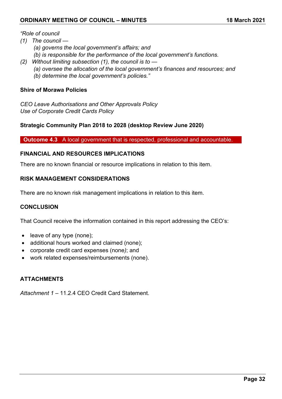# *"Role of council*

*(1) The council —*

- *(a) governs the local government's affairs; and*
- *(b) is responsible for the performance of the local government's functions.*
- *(2) Without limiting subsection (1), the council is to* 
	- *(a) oversee the allocation of the local government's finances and resources; and*
	- *(b) determine the local government's policies."*

# **Shire of Morawa Policies**

*CEO Leave Authorisations and Other Approvals Policy Use of Corporate Credit Cards Policy*

# **Strategic Community Plan 2018 to 2028 (desktop Review June 2020)**

**Outcome 4.3** A local government that is respected, professional and accountable.

# **FINANCIAL AND RESOURCES IMPLICATIONS**

There are no known financial or resource implications in relation to this item.

# **RISK MANAGEMENT CONSIDERATIONS**

There are no known risk management implications in relation to this item.

# **CONCLUSION**

That Council receive the information contained in this report addressing the CEO's:

- leave of any type (none);
- additional hours worked and claimed (none);
- corporate credit card expenses (none*)*; and
- work related expenses/reimbursements (none).

# **ATTACHMENTS**

*Attachment 1 –* 11.2.4 CEO Credit Card Statement.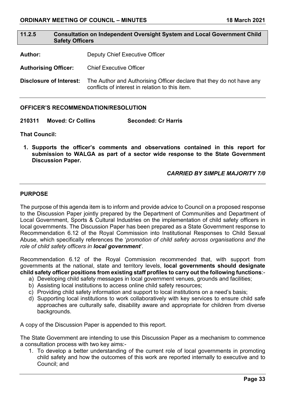# **11.2.5 Consultation on Independent Oversight System and Local Government Child Safety Officers**

**Author:** Deputy Chief Executive Officer

**Authorising Officer:** Chief Executive Officer

**Disclosure of Interest:** The Author and Authorising Officer declare that they do not have any conflicts of interest in relation to this item.

#### **OFFICER'S RECOMMENDATION/RESOLUTION**

**210311 Moved: Cr Collins Seconded: Cr Harris**

**That Council:** 

**1. Supports the officer's comments and observations contained in this report for submission to WALGA as part of a sector wide response to the State Government Discussion Paper.**

# *CARRIED BY SIMPLE MAJORITY 7/0*

#### **PURPOSE**

The purpose of this agenda item is to inform and provide advice to Council on a proposed response to the Discussion Paper jointly prepared by the Department of Communities and Department of Local Government, Sports & Cultural Industries on the implementation of child safety officers in local governments. The Discussion Paper has been prepared as a State Government response to Recommendation 6.12 of the Royal Commission into Institutional Responses to Child Sexual Abuse, which specifically references the '*promotion of child safety across organisations and the role of child safety officers in local government'*.

Recommendation 6.12 of the Royal Commission recommended that, with support from governments at the national, state and territory levels, **local governments should designate child safety officer positions from existing staff profiles to carry out the following functions**:-

- a) Developing child safety messages in local government venues, grounds and facilities;
- b) Assisting local institutions to access online child safety resources;
- c) Providing child safety information and support to local institutions on a need's basis;
- d) Supporting local institutions to work collaboratively with key services to ensure child safe approaches are culturally safe, disability aware and appropriate for children from diverse backgrounds.

A copy of the Discussion Paper is appended to this report.

The State Government are intending to use this Discussion Paper as a mechanism to commence a consultation process with two key aims:-

1. To develop a better understanding of the current role of local governments in promoting child safety and how the outcomes of this work are reported internally to executive and to Council; and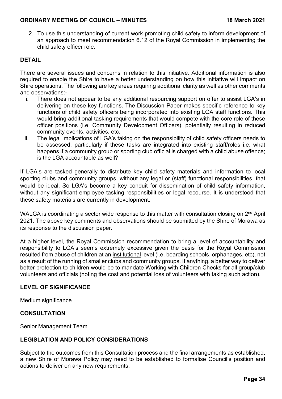2. To use this understanding of current work promoting child safety to inform development of an approach to meet recommendation 6.12 of the Royal Commission in implementing the child safety officer role.

# **DETAIL**

There are several issues and concerns in relation to this initiative. Additional information is also required to enable the Shire to have a better understanding on how this initiative will impact on Shire operations. The following are key areas requiring additional clarity as well as other comments and observations:-

- i. There does not appear to be any additional resourcing support on offer to assist LGA's in delivering on these key functions. The Discussion Paper makes specific reference to key functions of child safety officers being incorporated into existing LGA staff functions. This would bring additional tasking requirements that would compete with the core role of these officer positions (i.e. Community Development Officers), potentially resulting in reduced community events, activities, etc.
- ii. The legal implications of LGA's taking on the responsibility of child safety officers needs to be assessed, particularly if these tasks are integrated into existing staff/roles i.e. what happens if a community group or sporting club official is charged with a child abuse offence; is the LGA accountable as well?

If LGA's are tasked generally to distribute key child safety materials and information to local sporting clubs and community groups, without any legal or (staff) functional responsibilities, that would be ideal. So LGA's become a key conduit for dissemination of child safety information, without any significant employee tasking responsibilities or legal recourse. It is understood that these safety materials are currently in development.

WALGA is coordinating a sector wide response to this matter with consultation closing on 2<sup>nd</sup> April 2021. The above key comments and observations should be submitted by the Shire of Morawa as its response to the discussion paper.

At a higher level, the Royal Commission recommendation to bring a level of accountability and responsibility to LGA's seems extremely excessive given the basis for the Royal Commission resulted from abuse of children at an institutional level (i.e. boarding schools, orphanages, etc), not as a result of the running of smaller clubs and community groups. If anything, a better way to deliver better protection to children would be to mandate Working with Children Checks for all group/club volunteers and officials (noting the cost and potential loss of volunteers with taking such action).

# **LEVEL OF SIGNIFICANCE**

Medium significance

# **CONSULTATION**

Senior Management Team

# **LEGISLATION AND POLICY CONSIDERATIONS**

Subject to the outcomes from this Consultation process and the final arrangements as established, a new Shire of Morawa Policy may need to be established to formalise Council's position and actions to deliver on any new requirements.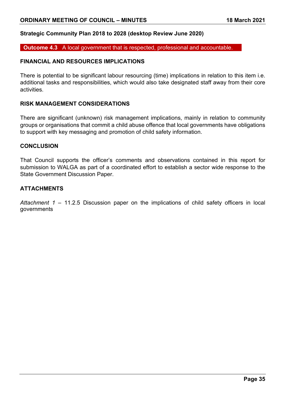# **Strategic Community Plan 2018 to 2028 (desktop Review June 2020)**

**Outcome 4.3** A local government that is respected, professional and accountable.

# **FINANCIAL AND RESOURCES IMPLICATIONS**

There is potential to be significant labour resourcing (time) implications in relation to this item i.e. additional tasks and responsibilities, which would also take designated staff away from their core activities.

#### **RISK MANAGEMENT CONSIDERATIONS**

There are significant (unknown) risk management implications, mainly in relation to community groups or organisations that commit a child abuse offence that local governments have obligations to support with key messaging and promotion of child safety information.

#### **CONCLUSION**

That Council supports the officer's comments and observations contained in this report for submission to WALGA as part of a coordinated effort to establish a sector wide response to the State Government Discussion Paper.

# **ATTACHMENTS**

*Attachment 1 –* 11.2.5 Discussion paper on the implications of child safety officers in local governments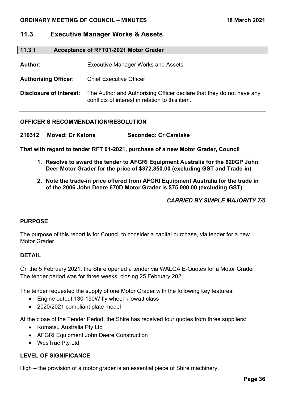# **11.3 Executive Manager Works & Assets**

# **11.3.1 Acceptance of RFT01-2021 Motor Grader**

**Author:** Executive Manager Works and Assets

**Authorising Officer:** Chief Executive Officer

**Disclosure of Interest:** The Author and Authorising Officer declare that they do not have any conflicts of interest in relation to this item.

#### **OFFICER'S RECOMMENDATION/RESOLUTION**

**210312 Moved: Cr Katona Seconded: Cr Carslake**

**That with regard to tender RFT 01-2021, purchase of a new Motor Grader, Council**

- **1. Resolve to award the tender to AFGRI Equipment Australia for the 620GP John Deer Motor Grader for the price of \$372,350.00 (excluding GST and Trade-in)**
- **2. Note the trade-in price offered from AFGRI Equipment Australia for the trade in of the 2006 John Deere 670D Motor Grader is \$75,000.00 (excluding GST)**

*CARRIED BY SIMPLE MAJORITY 7/0*

# **PURPOSE**

The purpose of this report is for Council to consider a capital purchase, via tender for a new Motor Grader.

#### **DETAIL**

On the 5 February 2021, the Shire opened a tender via WALGA E-Quotes for a Motor Grader. The tender period was for three weeks, closing 25 February 2021.

The tender requested the supply of one Motor Grader with the following key features:

- Engine output 130-150W fly wheel kilowatt class
- 2020/2021 compliant plate model

At the close of the Tender Period, the Shire has received four quotes from three suppliers:

- Komatsu Australia Pty Ltd
- AFGRI Equipment John Deere Construction
- WesTrac Pty Ltd

# **LEVEL OF SIGNIFICANCE**

High – the provision of a motor grader is an essential piece of Shire machinery.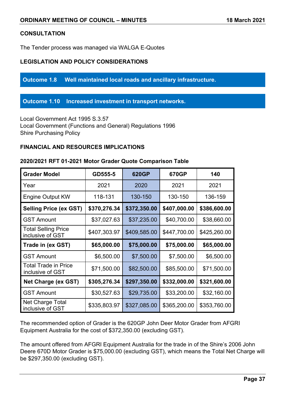# **CONSULTATION**

The Tender process was managed via WALGA E-Quotes

# **LEGISLATION AND POLICY CONSIDERATIONS**

**Outcome 1.8 Well maintained local roads and ancillary infrastructure.**

**Outcome 1.10 Increased investment in transport networks.**

Local Government Act 1995 S.3.57 Local Government (Functions and General) Regulations 1996 Shire Purchasing Policy

# **FINANCIAL AND RESOURCES IMPLICATIONS**

| <b>Grader Model</b>                             | GD555-5      | 620GP        | 670GP        | 140          |
|-------------------------------------------------|--------------|--------------|--------------|--------------|
| Year                                            | 2021         | 2020         | 2021         | 2021         |
| <b>Engine Output KW</b>                         | 118-131      | 130-150      | 130-150      | 136-159      |
| <b>Selling Price (ex GST)</b>                   | \$370,276.34 | \$372,350.00 | \$407,000.00 | \$386,600.00 |
| <b>GST Amount</b>                               | \$37,027.63  | \$37,235.00  | \$40,700.00  | \$38,660.00  |
| <b>Total Selling Price</b><br>inclusive of GST  | \$407,303.97 | \$409,585.00 | \$447,700.00 | \$425,260.00 |
| Trade in (ex GST)                               | \$65,000.00  | \$75,000.00  | \$75,000.00  | \$65,000.00  |
| <b>GST Amount</b>                               | \$6,500.00   | \$7,500.00   | \$7,500.00   | \$6,500.00   |
| <b>Total Trade in Price</b><br>inclusive of GST | \$71,500.00  | \$82,500.00  | \$85,500.00  | \$71,500.00  |
| <b>Net Charge (ex GST)</b>                      | \$305,276.34 | \$297,350.00 | \$332,000.00 | \$321,600.00 |
| <b>GST Amount</b>                               | \$30,527.63  | \$29,735.00  | \$33,200.00  | \$32,160.00  |
| Net Charge Total<br>inclusive of GST            | \$335,803.97 | \$327,085.00 | \$365,200.00 | \$353,760.00 |

#### **2020/2021 RFT 01-2021 Motor Grader Quote Comparison Table**

The recommended option of Grader is the 620GP John Deer Motor Grader from AFGRI Equipment Australia for the cost of \$372,350.00 (excluding GST).

The amount offered from AFGRI Equipment Australia for the trade in of the Shire's 2006 John Deere 670D Motor Grader is \$75,000.00 (excluding GST), which means the Total Net Charge will be \$297,350.00 (excluding GST).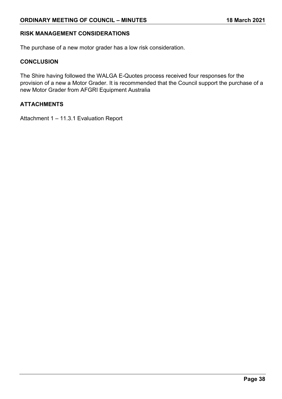# **RISK MANAGEMENT CONSIDERATIONS**

The purchase of a new motor grader has a low risk consideration.

#### **CONCLUSION**

The Shire having followed the WALGA E-Quotes process received four responses for the provision of a new a Motor Grader. It is recommended that the Council support the purchase of a new Motor Grader from AFGRI Equipment Australia

# **ATTACHMENTS**

Attachment 1 – 11.3.1 Evaluation Report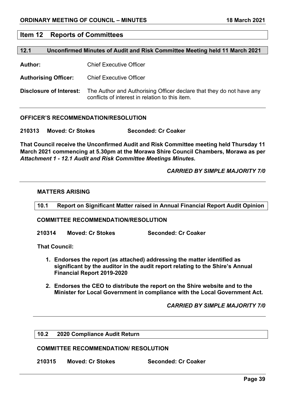#### **Item 12 Reports of Committees**

#### **12.1 Unconfirmed Minutes of Audit and Risk Committee Meeting held 11 March 2021**

**Author:** Chief Executive Officer

**Authorising Officer:** Chief Executive Officer

**Disclosure of Interest:** The Author and Authorising Officer declare that they do not have any conflicts of interest in relation to this item.

#### **OFFICER'S RECOMMENDATION/RESOLUTION**

**210313 Moved: Cr Stokes Seconded: Cr Coaker**

**That Council receive the Unconfirmed Audit and Risk Committee meeting held Thursday 11 March 2021 commencing at 5.30pm at the Morawa Shire Council Chambers, Morawa as per** *Attachment 1 - 12.1 Audit and Risk Committee Meetings Minutes.*

#### *CARRIED BY SIMPLE MAJORITY 7/0*

#### **MATTERS ARISING**

**10.1 Report on Significant Matter raised in Annual Financial Report Audit Opinion**

#### **COMMITTEE RECOMMENDATION/RESOLUTION**

**210314 Moved: Cr Stokes Seconded: Cr Coaker**

**That Council:**

- **1. Endorses the report (as attached) addressing the matter identified as significant by the auditor in the audit report relating to the Shire's Annual Financial Report 2019-2020**
- **2. Endorses the CEO to distribute the report on the Shire website and to the Minister for Local Government in compliance with the Local Government Act.**

#### *CARRIED BY SIMPLE MAJORITY 7/0*

#### **10.2 2020 Compliance Audit Return**

#### **COMMITTEE RECOMMENDATION/ RESOLUTION**

**210315 Moved: Cr Stokes Seconded: Cr Coaker**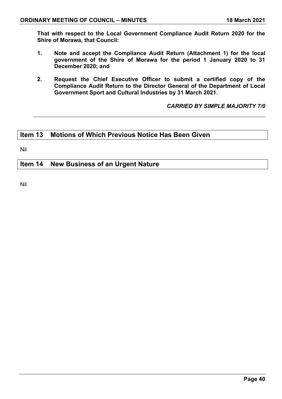**That with respect to the Local Government Compliance Audit Return 2020 for the Shire of Morawa, that Council:**

- **1. Note and accept the Compliance Audit Return (Attachment 1) for the local government of the Shire of Morawa for the period 1 January 2020 to 31 December 2020; and**
- **2. Request the Chief Executive Officer to submit a certified copy of the Compliance Audit Return to the Director General of the Department of Local Government Sport and Cultural Industries by 31 March 2021.**

*CARRIED BY SIMPLE MAJORITY 7/0*

# **Item 13 Motions of Which Previous Notice Has Been Given**

Nil

# **Item 14 New Business of an Urgent Nature**

Nil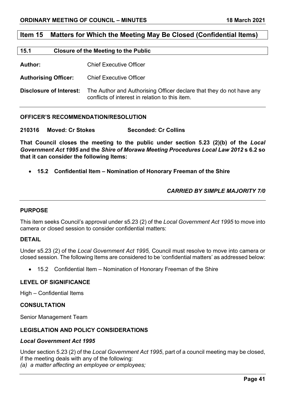# **Item 15 Matters for Which the Meeting May Be Closed (Confidential Items)**

#### **15.1 Closure of the Meeting to the Public**

**Author:** Chief Executive Officer

**Authorising Officer:** Chief Executive Officer

**Disclosure of Interest:** The Author and Authorising Officer declare that they do not have any conflicts of interest in relation to this item.

#### **OFFICER'S RECOMMENDATION/RESOLUTION**

**210316 Moved: Cr Stokes Seconded: Cr Collins**

**That Council closes the meeting to the public under section 5.23 (2)(b) of the** *Local Government Act 1995* **and the** *Shire of Morawa Meeting Procedures Local Law 2012* **s 6.2 so that it can consider the following Items:**

• **15.2 Confidential Item – Nomination of Honorary Freeman of the Shire**

# *CARRIED BY SIMPLE MAJORITY 7/0*

#### **PURPOSE**

This item seeks Council's approval under s5.23 (2) of the *Local Government Act 1995* to move into camera or closed session to consider confidential matters:

# **DETAIL**

Under s5.23 (2) of the *Local Government Act 1995,* Council must resolve to move into camera or closed session. The following Items are considered to be 'confidential matters' as addressed below:

• 15.2 Confidential Item – Nomination of Honorary Freeman of the Shire

#### **LEVEL OF SIGNIFICANCE**

High – Confidential Items

#### **CONSULTATION**

Senior Management Team

# **LEGISLATION AND POLICY CONSIDERATIONS**

#### *Local Government Act 1995*

Under section 5.23 (2) of the *Local Government Act 1995*, part of a council meeting may be closed, if the meeting deals with any of the following: *(a) a matter affecting an employee or employees;*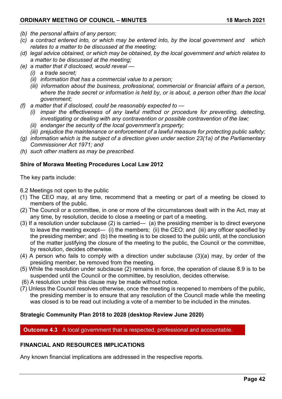- *(b) the personal affairs of any person;*
- *(c) a contract entered into, or which may be entered into, by the local government and which relates to a matter to be discussed at the meeting;*
- *(d) legal advice obtained, or which may be obtained, by the local government and which relates to a matter to be discussed at the meeting;*
- *(e) a matter that if disclosed, would reveal —*
	- *(i) a trade secret;*
	- *(ii) information that has a commercial value to a person;*
	- *(iii) information about the business, professional, commercial or financial affairs of a person, where the trade secret or information is held by, or is about, a person other than the local government;*
- *(f) a matter that if disclosed, could be reasonably expected to —*
	- *(i) impair the effectiveness of any lawful method or procedure for preventing, detecting, investigating or dealing with any contravention or possible contravention of the law;*
	- *(ii) endanger the security of the local government's property;*
	- *(iii) prejudice the maintenance or enforcement of a lawful measure for protecting public safety;*
- *(g) information which is the subject of a direction given under section 23(1a) of the Parliamentary Commissioner Act 1971; and*
- *(h) such other matters as may be prescribed.*

# **Shire of Morawa Meeting Procedures Local Law 2012**

The key parts include:

- 6.2 Meetings not open to the public
- (1) The CEO may, at any time, recommend that a meeting or part of a meeting be closed to members of the public.
- (2) The Council or a committee, in one or more of the circumstances dealt with in the Act, may at any time, by resolution, decide to close a meeting or part of a meeting.
- (3) If a resolution under subclause (2) is carried— (a) the presiding member is to direct everyone to leave the meeting except— (i) the members; (ii) the CEO; and (iii) any officer specified by the presiding member; and (b) the meeting is to be closed to the public until, at the conclusion of the matter justifying the closure of the meeting to the public, the Council or the committee, by resolution, decides otherwise.
- (4) A person who fails to comply with a direction under subclause (3)(a) may, by order of the presiding member, be removed from the meeting.
- (5) While the resolution under subclause (2) remains in force, the operation of clause 8.9 is to be suspended until the Council or the committee, by resolution, decides otherwise.
- (6) A resolution under this clause may be made without notice.
- (7) Unless the Council resolves otherwise, once the meeting is reopened to members of the public, the presiding member is to ensure that any resolution of the Council made while the meeting was closed is to be read out including a vote of a member to be included in the minutes.

# **Strategic Community Plan 2018 to 2028 (desktop Review June 2020)**

**Outcome 4.3** A local government that is respected, professional and accountable.

# **FINANCIAL AND RESOURCES IMPLICATIONS**

Any known financial implications are addressed in the respective reports.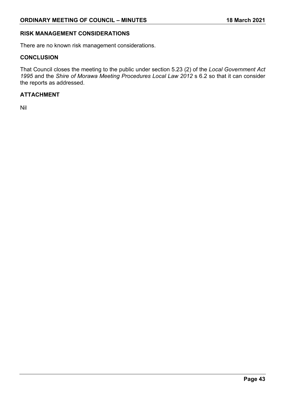# **RISK MANAGEMENT CONSIDERATIONS**

There are no known risk management considerations.

# **CONCLUSION**

That Council closes the meeting to the public under section 5.23 (2) of the *Local Government Act 1995* and the *Shire of Morawa Meeting Procedures Local Law 2012* s 6.2 so that it can consider the reports as addressed.

# **ATTACHMENT**

Nil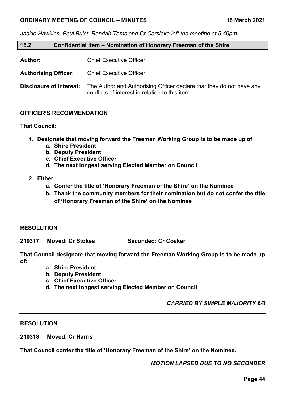*Jackie Hawkins, Paul Buist, Rondah Toms and Cr Carslake left the meeting at 5.40pm.*

| 15.2                        | Confidential Item – Nomination of Honorary Freeman of the Shire |
|-----------------------------|-----------------------------------------------------------------|
| <b>Author:</b>              | <b>Chief Executive Officer</b>                                  |
| <b>Authorising Officer:</b> | <b>Chief Executive Officer</b>                                  |

**Disclosure of Interest:** The Author and Authorising Officer declare that they do not have any conflicts of interest in relation to this item.

# **OFFICER'S RECOMMENDATION**

# **That Council:**

- **1. Designate that moving forward the Freeman Working Group is to be made up of** 
	- **a. Shire President**
	- **b. Deputy President**
	- **c. Chief Executive Officer**
	- **d. The next longest serving Elected Member on Council**
- **2. Either**
	- **a. Confer the title of 'Honorary Freeman of the Shire' on the Nominee**
	- **b. Thank the community members for their nomination but do not confer the title of 'Honorary Freeman of the Shire' on the Nominee**

#### **RESOLUTION**

**210317 Moved: Cr Stokes Seconded: Cr Coaker**

**That Council designate that moving forward the Freeman Working Group is to be made up of:**

- **a. Shire President**
- **b. Deputy President**
- **c. Chief Executive Officer**
- **d. The next longest serving Elected Member on Council**

*CARRIED BY SIMPLE MAJORITY 6/0*

#### **RESOLUTION**

**210318 Moved: Cr Harris**

**That Council confer the title of 'Honorary Freeman of the Shire' on the Nominee.**

*MOTION LAPSED DUE TO NO SECONDER*